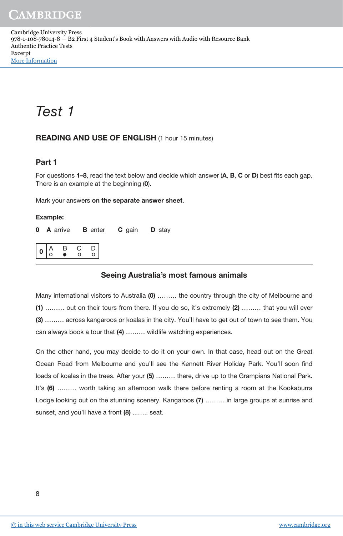Cambridge University Press 978-1-108-78014-8 — B2 First 4 Student's Book with Answers with Audio with Resource Bank Authentic Practice Tests Excerpt [More Information](www.cambridge.org/9781108780148)

# Test 1

### READING AND USE OF ENGLISH (1 hour 15 minutes)

## Part 1

For questions 1–8, read the text below and decide which answer (A, B, C or D) best fits each gap. There is an example at the beginning (0).

Mark your answers on the separate answer sheet.

#### Example:

**0 A arrive B enter C gain D stay** 

|  | ৴ |  |  |
|--|---|--|--|
|--|---|--|--|

### Seeing Australia's most famous animals

Many international visitors to Australia (0) ……… the country through the city of Melbourne and (1) ……… out on their tours from there. If you do so, it's extremely (2) ……… that you will ever (3) ……… across kangaroos or koalas in the city. You'll have to get out of town to see them. You can always book a tour that (4) ……… wildlife watching experiences.

On the other hand, you may decide to do it on your own. In that case, head out on the Great Ocean Road from Melbourne and you'll see the Kennett River Holiday Park. You'll soon find loads of koalas in the trees. After your (5) ……… there, drive up to the Grampians National Park. It's (6) ……… worth taking an afternoon walk there before renting a room at the Kookaburra Lodge looking out on the stunning scenery. Kangaroos (7) ……… in large groups at sunrise and sunset, and you'll have a front (8) ........ seat.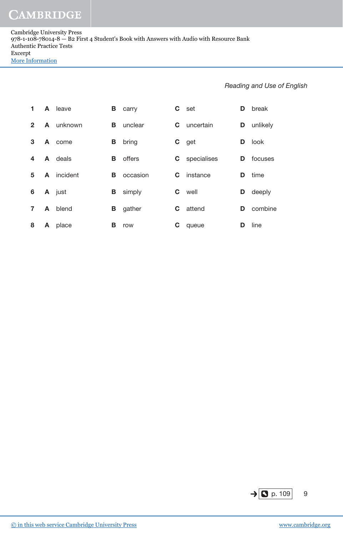Cambridge University Press 978-1-108-78014-8 — B2 First 4 Student's Book with Answers with Audio with Resource Bank Authentic Practice Tests Excerpt [More Information](www.cambridge.org/9781108780148)

| 1              |   | A leave        | В | carry    | C. | set                | D  | break             |
|----------------|---|----------------|---|----------|----|--------------------|----|-------------------|
| $\mathbf{2}$   |   | A unknown      | в | unclear  |    | <b>C</b> uncertain |    | <b>D</b> unlikely |
| 3              |   | A come         | В | bring    |    | C get              | D  | look              |
| 4              |   | <b>A</b> deals | В | offers   |    | C specialises      | D. | focuses           |
| 5              |   | A incident     | В | occasion | C. | instance           | D  | time              |
| 6              |   | A just         | В | simply   | C. | well               | D  | deeply            |
| $\overline{7}$ | A | blend          | В | gather   | C. | attend             | D  | combine           |
| 8              | A | place          | в | row      | С  | queue              | D  | line              |

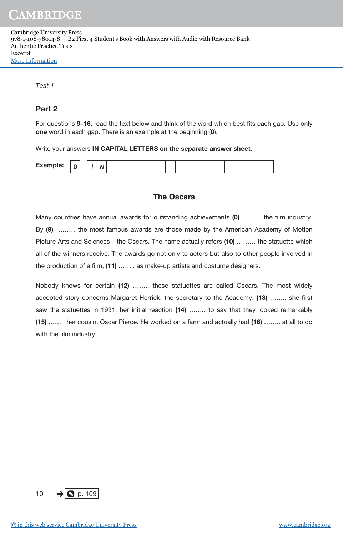| <b>Cambridge University Press</b>                                                        |
|------------------------------------------------------------------------------------------|
| 978-1-108-78014-8 - B2 First 4 Student's Book with Answers with Audio with Resource Bank |
| Authentic Practice Tests                                                                 |
| Excerpt                                                                                  |
| <b>More Information</b>                                                                  |

Test 1

## Part 2

For questions 9–16, read the text below and think of the word which best fits each gap. Use only one word in each gap. There is an example at the beginning (0).

Write your answers IN CAPITAL LETTERS on the separate answer sheet.

| <b>Example:</b><br>$\sim$<br> |
|-------------------------------|
|-------------------------------|

### **The Oscars**

Many countries have annual awards for outstanding achievements (0) ……… the film industry. By (9) ……… the most famous awards are those made by the American Academy of Motion Picture Arts and Sciences – the Oscars. The name actually refers (10) ......... the statuette which all of the winners receive. The awards go not only to actors but also to other people involved in the production of a film, (11) …….. as make-up artists and costume designers.

Nobody knows for certain (12) …….. these statuettes are called Oscars. The most widely accepted story concerns Margaret Herrick, the secretary to the Academy. (13) …….. she first saw the statuettes in 1931, her initial reaction (14) …….. to say that they looked remarkably (15) …….. her cousin, Oscar Pierce. He worked on a farm and actually had (16) …….. at all to do with the film industry.

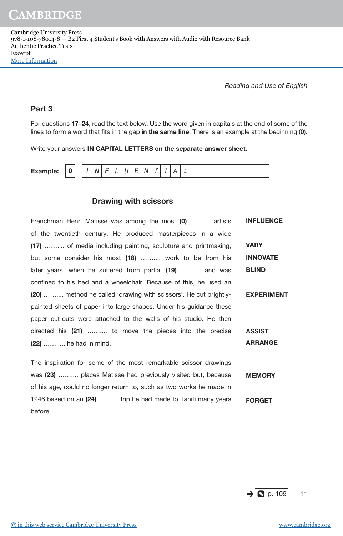Reading and Use of English

## Part 3

For questions 17–24, read the text below. Use the word given in capitals at the end of some of the lines to form a word that fits in the gap in the same line. There is an example at the beginning  $(0)$ .

Write your answers IN CAPITAL LETTERS on the separate answer sheet.

| -<br>-<br>$\epsilon$<br><b>Example:</b><br>Δ<br>N<br> |
|-------------------------------------------------------|
|-------------------------------------------------------|

### Drawing with scissors

1946 based on an (24) …….... trip he had made to Tahiti many years

| Frenchman Henri Matisse was among the most (0)  artists             | <b>INFLUENCE</b>  |
|---------------------------------------------------------------------|-------------------|
| of the twentieth century. He produced masterpieces in a wide        |                   |
| (17)  of media including painting, sculpture and printmaking,       | VARY              |
| but some consider his most (18)  work to be from his                | <b>INNOVATE</b>   |
| later years, when he suffered from partial (19)  and was            | <b>BLIND</b>      |
| confined to his bed and a wheelchair. Because of this, he used an   |                   |
| (20)  method he called 'drawing with scissors'. He cut brightly-    | <b>EXPERIMENT</b> |
| painted sheets of paper into large shapes. Under his guidance these |                   |
| paper cut-outs were attached to the walls of his studio. He then    |                   |
| directed his (21)  to move the pieces into the precise              | <b>ASSIST</b>     |
| (22)  he had in mind.                                               | <b>ARRANGE</b>    |
|                                                                     |                   |
| The inspiration for some of the most remarkable scissor drawings    |                   |
| was (23)  places Matisse had previously visited but, because        | <b>MEMORY</b>     |
| of his age, could no longer return to, such as two works he made in |                   |

FORGET



before.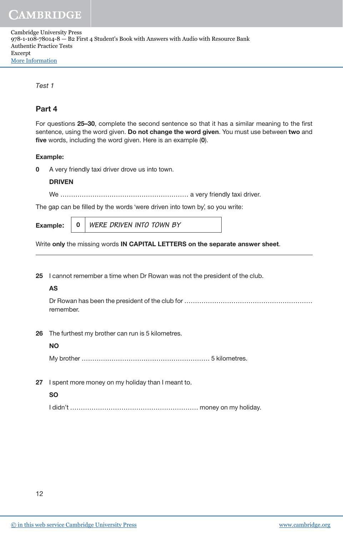| Cambridge University Press                                                               |
|------------------------------------------------------------------------------------------|
| 978-1-108-78014-8 — B2 First 4 Student's Book with Answers with Audio with Resource Bank |
| Authentic Practice Tests                                                                 |
| Excerpt                                                                                  |
| More Information                                                                         |

Test 1

## Part 4

For questions 25–30, complete the second sentence so that it has a similar meaning to the first sentence, using the word given. Do not change the word given. You must use between two and five words, including the word given. Here is an example (0).

#### Example:

**0** A very friendly taxi driver drove us into town.

#### DRIVEN

We …………………………………………………… a very friendly taxi driver.

The gap can be filled by the words 'were driven into town by', so you write:

Example**:** <sup>0</sup> **WERE DRIVEN INTO TOWN BY** 

Write only the missing words IN CAPITAL LETTERS on the separate answer sheet.

25 I cannot remember a time when Dr Rowan was not the president of the club.

#### AS

 Dr Rowan has been the president of the club for …………………………………………………… remember.

26 The furthest my brother can run is 5 kilometres.

#### NO

My brother …………………………………………………… 5 kilometres.

27 I spent more money on my holiday than I meant to.

#### SO

I didn't …………………………………………………… money on my holiday.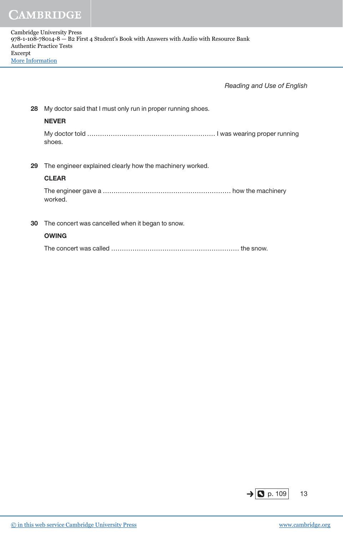| 28 | My doctor said that I must only run in proper running shoes. |
|----|--------------------------------------------------------------|
|    | <b>NEVER</b>                                                 |
|    | shoes.                                                       |
|    |                                                              |
| 29 | The engineer explained clearly how the machinery worked.     |
|    | <b>CLEAR</b>                                                 |
|    | worked.                                                      |
|    |                                                              |
| 30 | The concert was cancelled when it began to snow.             |
|    | <b>OWING</b>                                                 |
|    |                                                              |
|    |                                                              |

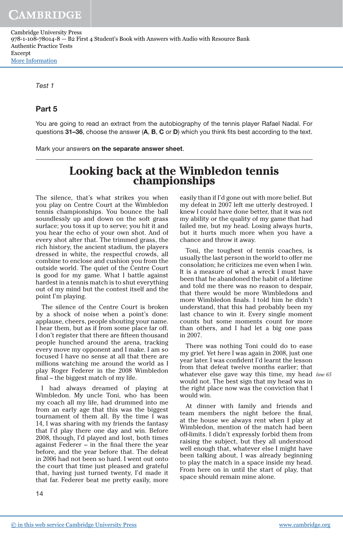Cambridge University Press 978-1-108-78014-8 — B2 First 4 Student's Book with Answers with Audio with Resource Bank Authentic Practice Tests Excerpt [More Information](www.cambridge.org/9781108780148)

Test 1

#### Part 5

You are going to read an extract from the autobiography of the tennis player Rafael Nadal. For questions 31–36, choose the answer (A, B, C or D) which you think fits best according to the text.

Mark your answers on the separate answer sheet.

## **Looking back at the Wimbledon tennis championships**

The silence, that's what strikes you when you play on Centre Court at the Wimbledon tennis championships. You bounce the ball soundlessly up and down on the soft grass surface; you toss it up to serve; you hit it and you hear the echo of your own shot. And of every shot after that. The trimmed grass, the rich history, the ancient stadium, the players dressed in white, the respectful crowds, all combine to enclose and cushion you from the outside world. The quiet of the Centre Court is good for my game. What I battle against hardest in a tennis match is to shut everything out of my mind but the contest itself and the point I'm playing.

The silence of the Centre Court is broken by a shock of noise when a point's done: applause, cheers, people shouting your name. I hear them, but as if from some place far off. I don't register that there are fifteen thousand people hunched around the arena, tracking every move my opponent and I make. I am so focused I have no sense at all that there are millions watching me around the world as I play Roger Federer in the 2008 Wimbledon final – the biggest match of my life.

I had always dreamed of playing at Wimbledon. My uncle Toni, who has been my coach all my life, had drummed into me from an early age that this was the biggest tournament of them all. By the time I was 14, I was sharing with my friends the fantasy that I'd play there one day and win. Before 2008, though, I'd played and lost, both times against Federer – in the final there the year before, and the year before that. The defeat in 2006 had not been so hard. I went out onto the court that time just pleased and grateful that, having just turned twenty, I'd made it that far. Federer beat me pretty easily, more

easily than if I'd gone out with more belief. But my defeat in 2007 left me utterly destroyed. I knew I could have done better, that it was not my ability or the quality of my game that had failed me, but my head. Losing always hurts, but it hurts much more when you have a chance and throw it away.

Toni, the toughest of tennis coaches, is usually the last person in the world to offer me consolation; he criticizes me even when I win. It is a measure of what a wreck I must have been that he abandoned the habit of a lifetime and told me there was no reason to despair, that there would be more Wimbledons and more Wimbledon finals. I told him he didn't understand, that this had probably been my last chance to win it. Every single moment counts but some moments count for more than others, and I had let a big one pass in 2007.

whatever else gave way this time, my head line 65 There was nothing Toni could do to ease my grief. Yet here I was again in 2008, just one year later. I was confident I'd learnt the lesson from that defeat twelve months earlier; that would not. The best sign that my head was in the right place now was the conviction that I would win.

At dinner with family and friends and team members the night before the final, at the house we always rent when I play at Wimbledon, mention of the match had been off-limits. I didn't expressly forbid them from raising the subject, but they all understood well enough that, whatever else I might have been talking about, I was already beginning to play the match in a space inside my head. From here on in until the start of play, that space should remain mine alone.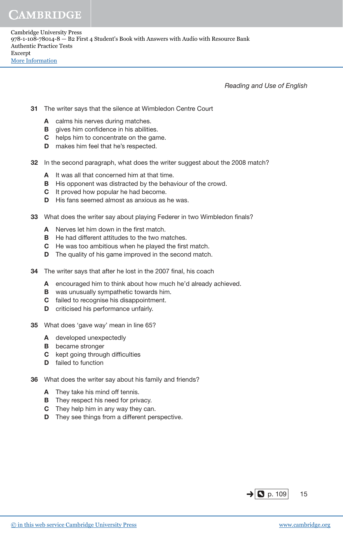- 31 The writer says that the silence at Wimbledon Centre Court
	- A calms his nerves during matches.
	- **B** gives him confidence in his abilities.
	- C helps him to concentrate on the game.
	- **D** makes him feel that he's respected.
- 32 In the second paragraph, what does the writer suggest about the 2008 match?
	- A It was all that concerned him at that time.
	- **B** His opponent was distracted by the behaviour of the crowd.
	- C It proved how popular he had become.
	- D His fans seemed almost as anxious as he was.
- 33 What does the writer say about playing Federer in two Wimbledon finals?
	- A Nerves let him down in the first match.
	- **B** He had different attitudes to the two matches.
	- C He was too ambitious when he played the first match.
	- **D** The quality of his game improved in the second match.
- 34 The writer says that after he lost in the 2007 final, his coach
	- A encouraged him to think about how much he'd already achieved.
	- B was unusually sympathetic towards him.
	- C failed to recognise his disappointment.
	- D criticised his performance unfairly.
- 35 What does 'gave way' mean in line 65?
	- A developed unexpectedly
	- **B** became stronger
	- C kept going through difficulties
	- D failed to function
- 36 What does the writer say about his family and friends?
	- A They take his mind off tennis.
	- **B** They respect his need for privacy.
	- **C** They help him in any way they can.
	- **D** They see things from a different perspective.

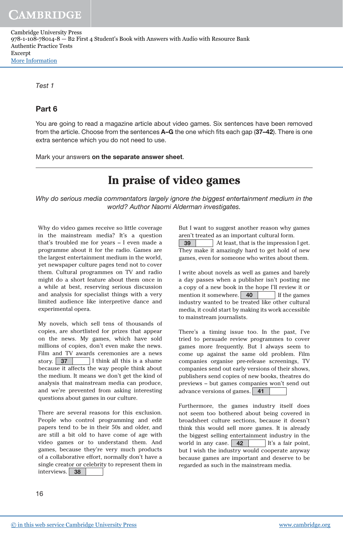Cambridge University Press 978-1-108-78014-8 — B2 First 4 Student's Book with Answers with Audio with Resource Bank Authentic Practice Tests Excerpt [More Information](www.cambridge.org/9781108780148)

Test 1

## Part 6

You are going to read a magazine article about video games. Six sentences have been removed from the article. Choose from the sentences A–G the one which fits each gap (37–42). There is one extra sentence which you do not need to use.

Mark your answers on the separate answer sheet.

# **In praise of video games**

Why do serious media commentators largely ignore the biggest entertainment medium in the world? Author Naomi Alderman investigates.

Why do video games receive so little coverage in the mainstream media? It's a question that's troubled me for years – I even made a programme about it for the radio. Games are the largest entertainment medium in the world, yet newspaper culture pages tend not to cover them. Cultural programmes on TV and radio might do a short feature about them once in a while at best, reserving serious discussion and analysis for specialist things with a very limited audience like interpretive dance and experimental opera.

My novels, which sell tens of thousands of copies, are shortlisted for prizes that appear on the news. My games, which have sold millions of copies, don't even make the news. Film and TV awards ceremonies are a news story. 37 I think all this is a shame because it affects the way people think about the medium. It means we don't get the kind of analysis that mainstream media can produce, and we're prevented from asking interesting questions about games in our culture.

There are several reasons for this exclusion. People who control programming and edit papers tend to be in their 50s and older, and are still a bit old to have come of age with video games or to understand them. And games, because they're very much products of a collaborative effort, normally don't have a single creator or celebrity to represent them in interviews. 38

But I want to suggest another reason why games aren't treated as an important cultural form.

39 At least, that is the impression I get. They make it amazingly hard to get hold of new games, even for someone who writes about them.

I write about novels as well as games and barely a day passes when a publisher isn't posting me a copy of a new book in the hope I'll review it or mention it somewhere.  $\boxed{40}$  If the games industry wanted to be treated like other cultural media, it could start by making its work accessible to mainstream journalists.

There's a timing issue too. In the past, I've tried to persuade review programmes to cover games more frequently. But I always seem to come up against the same old problem. Film companies organise pre-release screenings, TV companies send out early versions of their shows, publishers send copies of new books, theatres do previews – but games companies won't send out advance versions of games. 41

Furthermore, the games industry itself does not seem too bothered about being covered in broadsheet culture sections, because it doesn't think this would sell more games. It is already the biggest selling entertainment industry in the world in any case.  $\begin{array}{|c|c|c|c|c|} \hline \textbf{42} & \textbf{It's a fair point,} \hline \end{array}$ but I wish the industry would cooperate anyway because games are important and deserve to be regarded as such in the mainstream media.